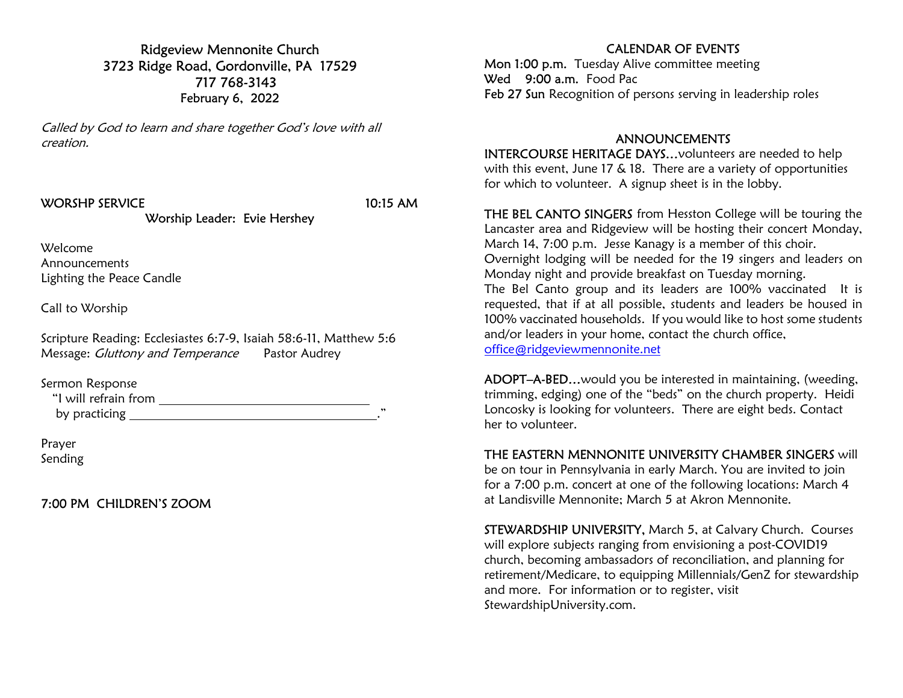Ridgeview Mennonite Church 3723 Ridge Road, Gordonville, PA 17529 717 768-3143 February 6, 2022

Called by God to learn and share together God's love with all creation.

#### WORSHP SERVICE 10:15 AM

Worship Leader: Evie Hershey

Welcome Announcements Lighting the Peace Candle

Call to Worship

Scripture Reading: Ecclesiastes 6:7-9, Isaiah 58:6-11, Matthew 5:6 Message: *Gluttony and Temperance* Pastor Audrey

Sermon Response

| "I will refrain from |  |
|----------------------|--|
| by practicing        |  |

Prayer Sending

7:00 PM CHILDREN'S ZOOM

## CALENDAR OF EVENTS

Mon 1:00 p.m. Tuesday Alive committee meeting Wed 9:00 a.m. Food Pac Feb 27 Sun Recognition of persons serving in leadership roles

#### ANNOUNCEMENTS

INTERCOURSE HERITAGE DAYS…volunteers are needed to help with this event, June 17 & 18. There are a variety of opportunities for which to volunteer. A signup sheet is in the lobby.

THE BEL CANTO SINGERS from Hesston College will be touring the Lancaster area and Ridgeview will be hosting their concert Monday, March 14, 7:00 p.m. Jesse Kanagy is a member of this choir. Overnight lodging will be needed for the 19 singers and leaders on Monday night and provide breakfast on Tuesday morning. The Bel Canto group and its leaders are 100% vaccinated It is requested, that if at all possible, students and leaders be housed in 100% vaccinated households. If you would like to host some students and/or leaders in your home, contact the church office,

office@ridgeviewmennonite.net

ADOPT–A-BED…would you be interested in maintaining, (weeding, trimming, edging) one of the "beds" on the church property. Heidi Loncosky is looking for volunteers. There are eight beds. Contact her to volunteer.

#### THE EASTERN MENNONITE UNIVERSITY CHAMBER SINGERS will

be on tour in Pennsylvania in early March. You are invited to join for a 7:00 p.m. concert at one of the following locations: March 4 at Landisville Mennonite; March 5 at Akron Mennonite.

STEWARDSHIP UNIVERSITY, March 5, at Calvary Church. Courses will explore subjects ranging from envisioning a post-COVID19 church, becoming ambassadors of reconciliation, and planning for retirement/Medicare, to equipping Millennials/GenZ for stewardship and more. For information or to register, visit StewardshipUniversity.com.